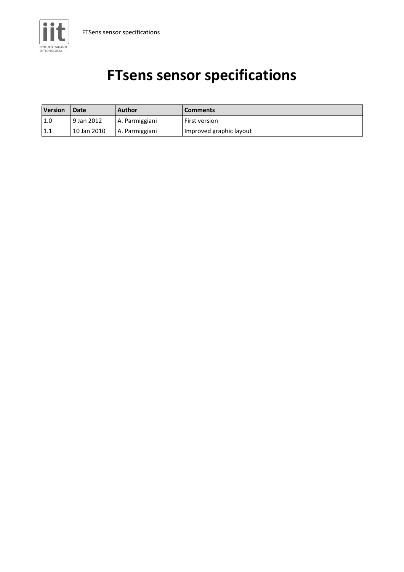

FTSens sensor specifications

# FTsens sensor specifications

| <b>Version</b> | Date        | <b>Author</b>  | <b>Comments</b>         |
|----------------|-------------|----------------|-------------------------|
| 1.0            | 19 Jan 2012 | A. Parmiggiani | First version           |
| 1.1            | 10 Jan 2010 | A. Parmiggiani | Improved graphic layout |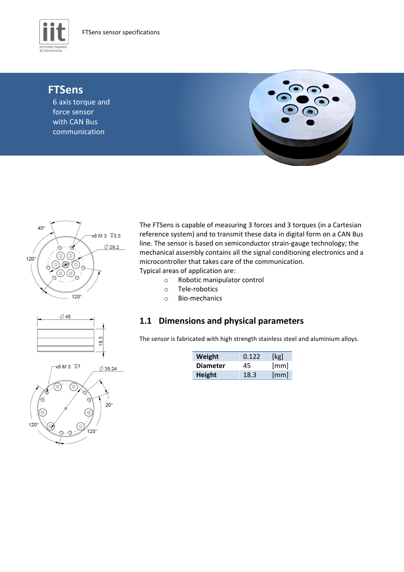

# **FTSens**

6 axis torque and force sensor with CAN Bus communication





The FTSens is capable of measuring 3 forces and 3 torques (in a Cartesian reference system) and to transmit these data in digital form on a CAN Bus line. The sensor is based on semiconductor strain-gauge technology; the mechanical assembly contains all the signal conditioning electronics and a microcontroller that takes care of the communication. Typical areas of application are:

- o Robotic manipulator control
- o Tele-robotics
- o Bio-mechanics

#### 1.1 Dimensions and physical parameters

The sensor is fabricated with high strength stainless steel and aluminium alloys.

| Weight          | 0.122 | [kg] |
|-----------------|-------|------|
| <b>Diameter</b> | 45    | [mm] |
| <b>Height</b>   | 18.3  | [mm] |



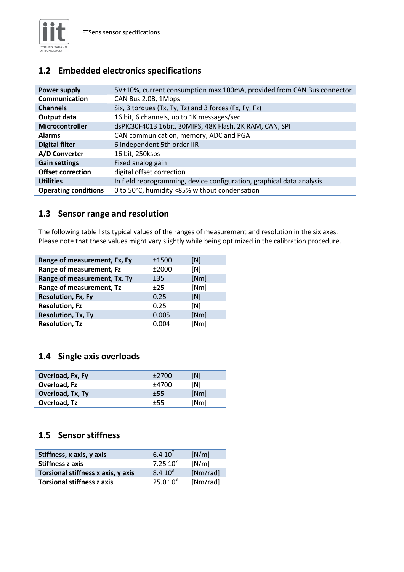

| 5V±10%, current consumption max 100mA, provided from CAN Bus connector<br>Power supply |                                                                       |
|----------------------------------------------------------------------------------------|-----------------------------------------------------------------------|
| Communication                                                                          | CAN Bus 2.0B, 1Mbps                                                   |
| Six, 3 torques (Tx, Ty, Tz) and 3 forces (Fx, Fy, Fz)<br><b>Channels</b>               |                                                                       |
| 16 bit, 6 channels, up to 1K messages/sec<br>Output data                               |                                                                       |
| Microcontroller<br>dsPIC30F4013 16bit, 30MIPS, 48K Flash, 2K RAM, CAN, SPI             |                                                                       |
| CAN communication, memory, ADC and PGA<br><b>Alarms</b>                                |                                                                       |
| 6 independent 5th order IIR<br><b>Digital filter</b>                                   |                                                                       |
| A/D Converter                                                                          | 16 bit, 250ksps                                                       |
| <b>Gain settings</b>                                                                   | Fixed analog gain                                                     |
| <b>Offset correction</b>                                                               | digital offset correction                                             |
| <b>Utilities</b>                                                                       | In field reprogramming, device configuration, graphical data analysis |
| <b>Operating conditions</b>                                                            | 0 to 50°C, humidity <85% without condensation                         |

# 1.2 Embedded electronics specifications

#### 1.3 Sensor range and resolution

The following table lists typical values of the ranges of measurement and resolution in the six axes. Please note that these values might vary slightly while being optimized in the calibration procedure.

| Range of measurement, Fx, Fy | ±1500 | [N]  |
|------------------------------|-------|------|
| Range of measurement, Fz     | ±2000 | [N]  |
| Range of measurement, Tx, Ty | ±35   | [Nm] |
| Range of measurement, Tz     | ±25   | [Nm] |
| <b>Resolution, Fx, Fy</b>    | 0.25  | [N]  |
| <b>Resolution, Fz</b>        | 0.25  | [N]  |
| <b>Resolution, Tx, Ty</b>    | 0.005 | [Nm] |
| <b>Resolution, Tz</b>        | 0.004 | [Nm] |

# 1.4 Single axis overloads

| Overload, Fx, Fy | ±2700 | [N]  |
|------------------|-------|------|
| Overload, Fz     | +4700 | [N]  |
| Overload, Tx, Ty | $+55$ | [Nm] |
| Overload, Tz     | $+55$ | [Nm] |
|                  |       |      |

#### 1.5 Sensor stiffness

| Stiffness, x axis, y axis          | $6.410^{7}$         | [N/m]    |
|------------------------------------|---------------------|----------|
| <b>Stiffness z axis</b>            | 7.2510 <sup>7</sup> | [N/m]    |
| Torsional stiffness x axis, y axis | $8.410^{3}$         | [Nm/rad] |
| <b>Torsional stiffness z axis</b>  | 25.010 <sup>3</sup> | [Nm/rad] |